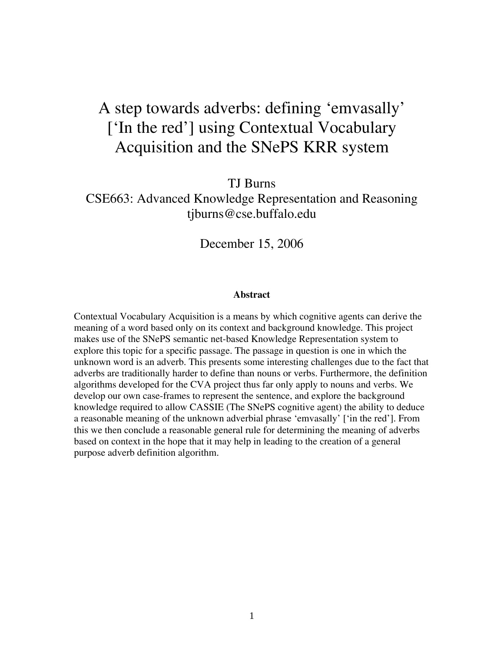# A step towards adverbs: defining 'emvasally' ['In the red'] using Contextual Vocabulary Acquisition and the SNePS KRR system

TJ Burns CSE663: Advanced Knowledge Representation and Reasoning [tjburns@cse.buffalo.edu](mailto:ag33@cse.buffalo.edu)

December 15, 2006

#### **Abstract**

Contextual Vocabulary Acquisition is a means by which cognitive agents can derive the meaning of a word based only on its context and background knowledge. This project makes use of the SNePS semantic net-based Knowledge Representation system to explore this topic for a specific passage. The passage in question is one in which the unknown word is an adverb. This presents some interesting challenges due to the fact that adverbs are traditionally harder to define than nouns or verbs. Furthermore, the definition algorithms developed for the CVA project thus far only apply to nouns and verbs. We develop our own case-frames to represent the sentence, and explore the background knowledge required to allow CASSIE (The SNePS cognitive agent) the ability to deduce a reasonable meaning of the unknown adverbial phrase 'emvasally' ['in the red']. From this we then conclude a reasonable general rule for determining the meaning of adverbs based on context in the hope that it may help in leading to the creation of a general purpose adverb definition algorithm.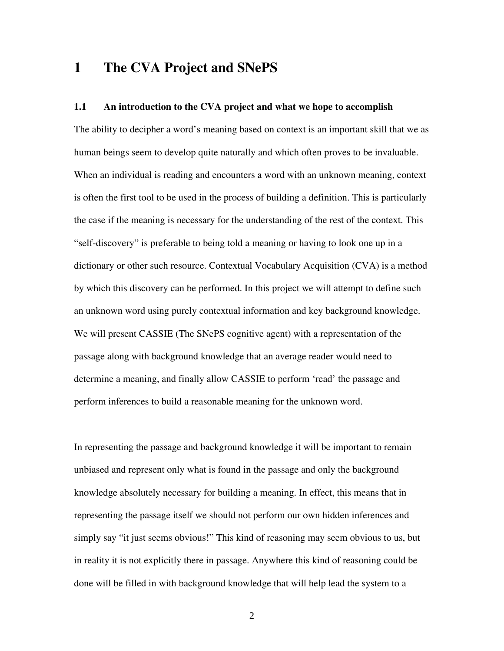### **1 The CVA Project and SNePS**

#### **1.1 An introduction to the CVA project and what we hope to accomplish**

The ability to decipher a word's meaning based on context is an important skill that we as human beings seem to develop quite naturally and which often proves to be invaluable. When an individual is reading and encounters a word with an unknown meaning, context is often the first tool to be used in the process of building a definition. This is particularly the case if the meaning is necessary for the understanding of the rest of the context. This "self-discovery" is preferable to being told a meaning or having to look one up in a dictionary or other such resource. Contextual Vocabulary Acquisition (CVA) is a method by which this discovery can be performed. In this project we will attempt to define such an unknown word using purely contextual information and key background knowledge. We will present CASSIE (The SNePS cognitive agent) with a representation of the passage along with background knowledge that an average reader would need to determine a meaning, and finally allow CASSIE to perform 'read' the passage and perform inferences to build a reasonable meaning for the unknown word.

In representing the passage and background knowledge it will be important to remain unbiased and represent only what is found in the passage and only the background knowledge absolutely necessary for building a meaning. In effect, this means that in representing the passage itself we should not perform our own hidden inferences and simply say "it just seems obvious!" This kind of reasoning may seem obvious to us, but in reality it is not explicitly there in passage. Anywhere this kind of reasoning could be done will be filled in with background knowledge that will help lead the system to a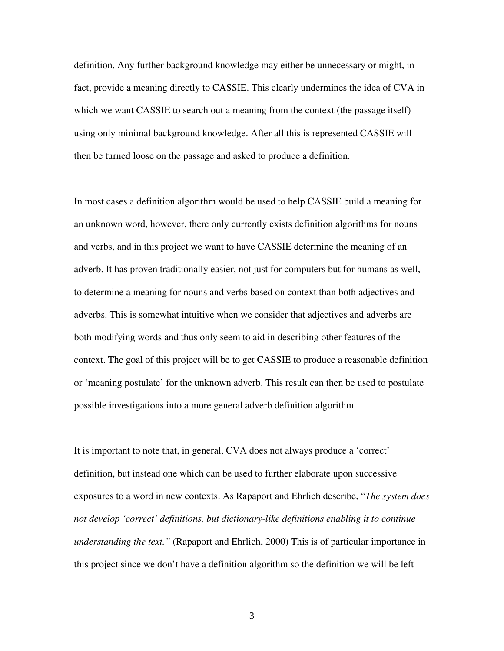definition. Any further background knowledge may either be unnecessary or might, in fact, provide a meaning directly to CASSIE. This clearly undermines the idea of CVA in which we want CASSIE to search out a meaning from the context (the passage itself) using only minimal background knowledge. After all this is represented CASSIE will then be turned loose on the passage and asked to produce a definition.

In most cases a definition algorithm would be used to help CASSIE build a meaning for an unknown word, however, there only currently exists definition algorithms for nouns and verbs, and in this project we want to have CASSIE determine the meaning of an adverb. It has proven traditionally easier, not just for computers but for humans as well, to determine a meaning for nouns and verbs based on context than both adjectives and adverbs. This is somewhat intuitive when we consider that adjectives and adverbs are both modifying words and thus only seem to aid in describing other features of the context. The goal of this project will be to get CASSIE to produce a reasonable definition or 'meaning postulate' for the unknown adverb. This result can then be used to postulate possible investigations into a more general adverb definition algorithm.

It is important to note that, in general, CVA does not always produce a 'correct' definition, but instead one which can be used to further elaborate upon successive exposures to a word in new contexts. As Rapaport and Ehrlich describe, "*The system does not develop 'correct' definitions, but dictionary-like definitions enabling it to continue understanding the text."* (Rapaport and Ehrlich, 2000) This is of particular importance in this project since we don't have a definition algorithm so the definition we will be left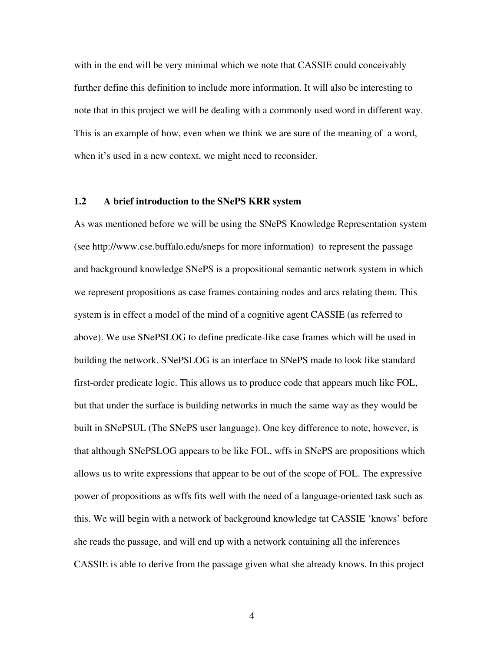with in the end will be very minimal which we note that CASSIE could conceivably further define this definition to include more information. It will also be interesting to note that in this project we will be dealing with a commonly used word in different way. This is an example of how, even when we think we are sure of the meaning of a word, when it's used in a new context, we might need to reconsider.

#### **1.2 A brief introduction to the SNePS KRR system**

As was mentioned before we will be using the SNePS Knowledge Representation system (see<http://www.cse.buffalo.edu/sneps> for more information) to represent the passage and background knowledge SNePS is a propositional semantic network system in which we represent propositions as case frames containing nodes and arcs relating them. This system is in effect a model of the mind of a cognitive agent CASSIE (as referred to above). We use SNePSLOG to define predicate-like case frames which will be used in building the network. SNePSLOG is an interface to SNePS made to look like standard first-order predicate logic. This allows us to produce code that appears much like FOL, but that under the surface is building networks in much the same way as they would be built in SNePSUL (The SNePS user language). One key difference to note, however, is that although SNePSLOG appears to be like FOL, wffs in SNePS are propositions which allows us to write expressions that appear to be out of the scope of FOL. The expressive power of propositions as wffs fits well with the need of a language-oriented task such as this. We will begin with a network of background knowledge tat CASSIE 'knows' before she reads the passage, and will end up with a network containing all the inferences CASSIE is able to derive from the passage given what she already knows. In this project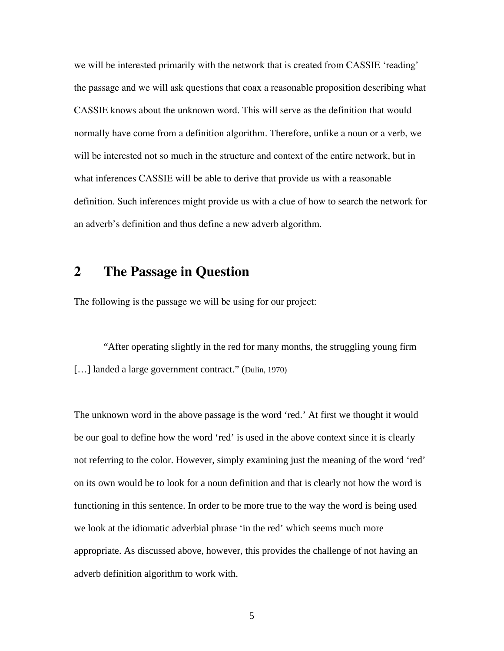we will be interested primarily with the network that is created from CASSIE 'reading' the passage and we will ask questions that coax a reasonable proposition describing what CASSIE knows about the unknown word. This will serve as the definition that would normally have come from a definition algorithm. Therefore, unlike a noun or a verb, we will be interested not so much in the structure and context of the entire network, but in what inferences CASSIE will be able to derive that provide us with a reasonable definition. Such inferences might provide us with a clue of how to search the network for an adverb's definition and thus define a new adverb algorithm.

### **2 The Passage in Question**

The following is the passage we will be using for our project:

"After operating slightly in the red for many months, the struggling young firm [...] landed a large government contract." (Dulin, 1970)

The unknown word in the above passage is the word 'red.' At first we thought it would be our goal to define how the word 'red' is used in the above context since it is clearly not referring to the color. However, simply examining just the meaning of the word 'red' on its own would be to look for a noun definition and that is clearly not how the word is functioning in this sentence. In order to be more true to the way the word is being used we look at the idiomatic adverbial phrase 'in the red' which seems much more appropriate. As discussed above, however, this provides the challenge of not having an adverb definition algorithm to work with.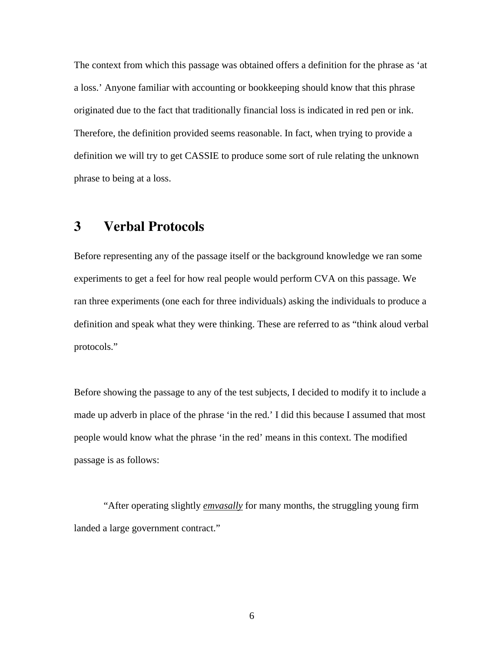The context from which this passage was obtained offers a definition for the phrase as 'at a loss.' Anyone familiar with accounting or bookkeeping should know that this phrase originated due to the fact that traditionally financial loss is indicated in red pen or ink. Therefore, the definition provided seems reasonable. In fact, when trying to provide a definition we will try to get CASSIE to produce some sort of rule relating the unknown phrase to being at a loss.

## **3 Verbal Protocols**

Before representing any of the passage itself or the background knowledge we ran some experiments to get a feel for how real people would perform CVA on this passage. We ran three experiments (one each for three individuals) asking the individuals to produce a definition and speak what they were thinking. These are referred to as "think aloud verbal protocols."

Before showing the passage to any of the test subjects, I decided to modify it to include a made up adverb in place of the phrase 'in the red.' I did this because I assumed that most people would know what the phrase 'in the red' means in this context. The modified passage is as follows:

"After operating slightly *emvasally* for many months, the struggling young firm landed a large government contract."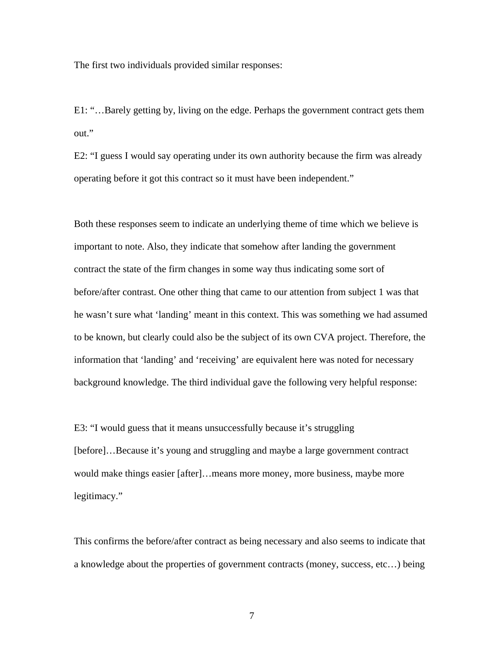The first two individuals provided similar responses:

E1: "…Barely getting by, living on the edge. Perhaps the government contract gets them out."

E2: "I guess I would say operating under its own authority because the firm was already operating before it got this contract so it must have been independent."

Both these responses seem to indicate an underlying theme of time which we believe is important to note. Also, they indicate that somehow after landing the government contract the state of the firm changes in some way thus indicating some sort of before/after contrast. One other thing that came to our attention from subject 1 was that he wasn't sure what 'landing' meant in this context. This was something we had assumed to be known, but clearly could also be the subject of its own CVA project. Therefore, the information that 'landing' and 'receiving' are equivalent here was noted for necessary background knowledge. The third individual gave the following very helpful response:

E3: "I would guess that it means unsuccessfully because it's struggling [before]…Because it's young and struggling and maybe a large government contract would make things easier [after]…means more money, more business, maybe more legitimacy."

This confirms the before/after contract as being necessary and also seems to indicate that a knowledge about the properties of government contracts (money, success, etc…) being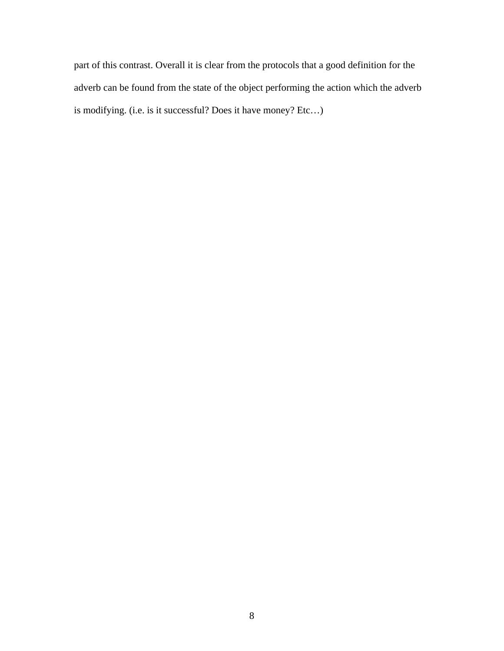part of this contrast. Overall it is clear from the protocols that a good definition for the adverb can be found from the state of the object performing the action which the adverb is modifying. (i.e. is it successful? Does it have money? Etc…)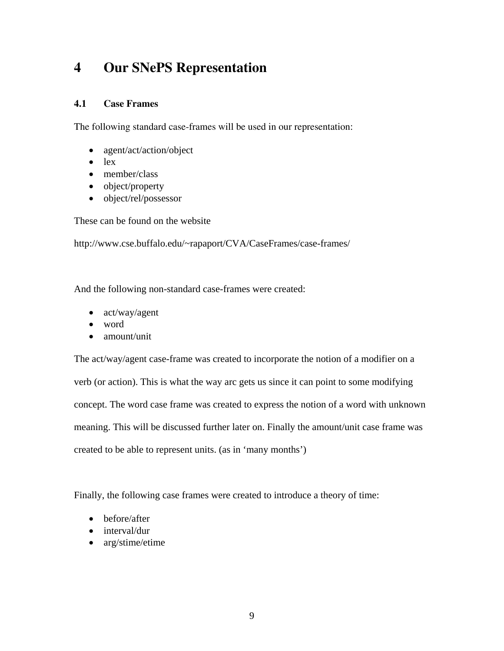## **4 Our SNePS Representation**

#### **4.1 Case Frames**

The following standard case-frames will be used in our representation:

- agent/act/action/object
- lex
- member/class
- object/property
- object/rel/possessor

These can be found on the website

http://www.cse.buffalo.edu/~rapaport/CVA/CaseFrames/case-frames/

And the following non-standard case-frames were created:

- act/way/agent
- word
- amount/unit

The act/way/agent case-frame was created to incorporate the notion of a modifier on a verb (or action). This is what the way arc gets us since it can point to some modifying concept. The word case frame was created to express the notion of a word with unknown meaning. This will be discussed further later on. Finally the amount/unit case frame was created to be able to represent units. (as in 'many months')

Finally, the following case frames were created to introduce a theory of time:

- before/after
- interval/dur
- arg/stime/etime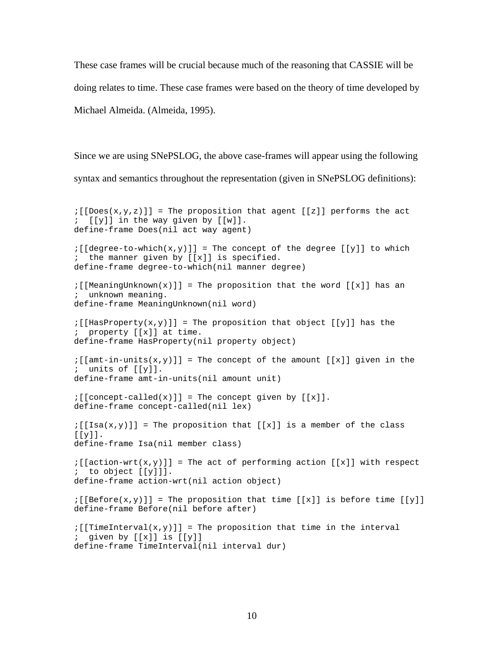These case frames will be crucial because much of the reasoning that CASSIE will be doing relates to time. These case frames were based on the theory of time developed by Michael Almeida. (Almeida, 1995).

Since we are using SNePSLOG, the above case-frames will appear using the following syntax and semantics throughout the representation (given in SNePSLOG definitions):

```
:[[Does(x,y,z)]] = The proposition that agent [[z]] performs the act
; [[y]] in the way given by [[w]]. 
define-frame Does(nil act way agent) 
:[\text{degree-to-which}(x,y)]] = \text{The concept of the degree } [[y]] \text{ to which}; the manner given by [[x]] is specified. 
define-frame degree-to-which(nil manner degree) 
; [[MeaningUnknown(x)]] = The proposition that the word [[x]] has an
; unknown meaning. 
define-frame MeaningUnknown(nil word) 
:[[HasProperty(x,y)]] = The proposition that object [[y]] has the
; property [[x]] at time. 
define-frame HasProperty(nil property object) 
:[\lceil amt-in-units(x,y)\rceil] = \text{The concept of the amount } [[x]] \text{ given in the }; units of [[y]]. 
define-frame amt-in-units(nil amount unit) 
:[\text{concept-called}(x)] = The concept given by [[x]].
define-frame concept-called(nil lex) 
:[[Isa(x,y)]] = The proposition that [[x]] is a member of the class
[[y]].
define-frame Isa(nil member class) 
:[[action-wrt(x,y)]] = The act of performing action [[x]] with respect
; to object [[y]]]. 
define-frame action-wrt(nil action object) 
:[[Before(x,y)]] = The proposition that time [[x]] is before time [[y]]define-frame Before(nil before after) 
:[[TimeInterval(x,y)]] = The proposition that time in the interval; given by [[x]] is [[y]] 
define-frame TimeInterval(nil interval dur)
```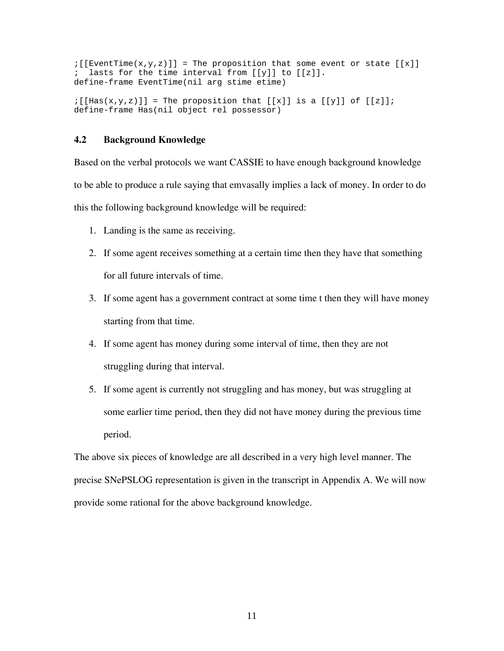```
:[[Eventime(x,y,z)]] = The proposition that some event or state [[x]]; lasts for the time interval from [[y]] to [[z]]. 
define-frame EventTime(nil arg stime etime) 
\{[\text{Has}(x,y,z)]\} = The proposition that [[x]] is a [[y]] of [[z]];
```
#### **4.2 Background Knowledge**

Based on the verbal protocols we want CASSIE to have enough background knowledge to be able to produce a rule saying that emvasally implies a lack of money. In order to do this the following background knowledge will be required:

1. Landing is the same as receiving.

define-frame Has(nil object rel possessor)

- 2. If some agent receives something at a certain time then they have that something for all future intervals of time.
- 3. If some agent has a government contract at some time t then they will have money starting from that time.
- 4. If some agent has money during some interval of time, then they are not struggling during that interval.
- 5. If some agent is currently not struggling and has money, but was struggling at some earlier time period, then they did not have money during the previous time period.

The above six pieces of knowledge are all described in a very high level manner. The precise SNePSLOG representation is given in the transcript in Appendix A. We will now provide some rational for the above background knowledge.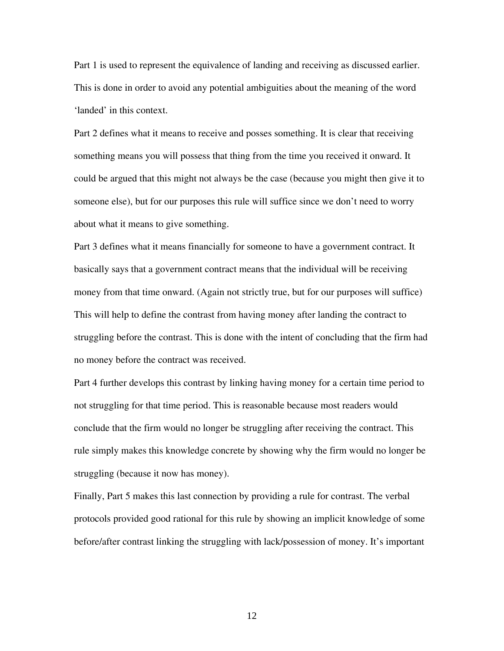Part 1 is used to represent the equivalence of landing and receiving as discussed earlier. This is done in order to avoid any potential ambiguities about the meaning of the word 'landed' in this context.

Part 2 defines what it means to receive and posses something. It is clear that receiving something means you will possess that thing from the time you received it onward. It could be argued that this might not always be the case (because you might then give it to someone else), but for our purposes this rule will suffice since we don't need to worry about what it means to give something.

Part 3 defines what it means financially for someone to have a government contract. It basically says that a government contract means that the individual will be receiving money from that time onward. (Again not strictly true, but for our purposes will suffice) This will help to define the contrast from having money after landing the contract to struggling before the contrast. This is done with the intent of concluding that the firm had no money before the contract was received.

Part 4 further develops this contrast by linking having money for a certain time period to not struggling for that time period. This is reasonable because most readers would conclude that the firm would no longer be struggling after receiving the contract. This rule simply makes this knowledge concrete by showing why the firm would no longer be struggling (because it now has money).

Finally, Part 5 makes this last connection by providing a rule for contrast. The verbal protocols provided good rational for this rule by showing an implicit knowledge of some before/after contrast linking the struggling with lack/possession of money. It's important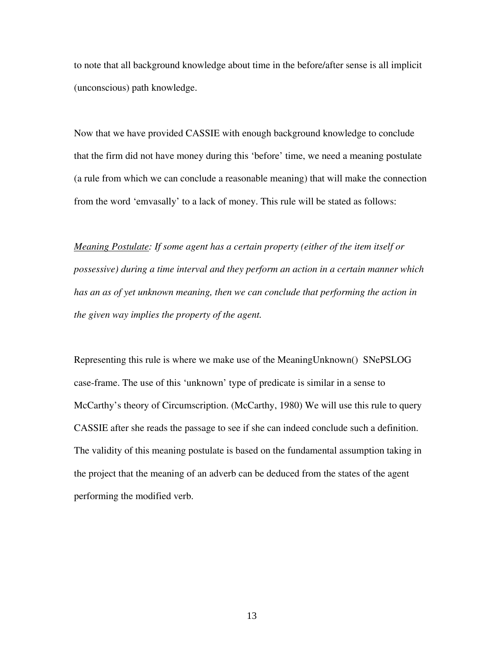to note that all background knowledge about time in the before/after sense is all implicit (unconscious) path knowledge.

Now that we have provided CASSIE with enough background knowledge to conclude that the firm did not have money during this 'before' time, we need a meaning postulate (a rule from which we can conclude a reasonable meaning) that will make the connection from the word 'emvasally' to a lack of money. This rule will be stated as follows:

*Meaning Postulate: If some agent has a certain property (either of the item itself or possessive) during a time interval and they perform an action in a certain manner which*  has an as of yet unknown meaning, then we can conclude that performing the action in *the given way implies the property of the agent.* 

Representing this rule is where we make use of the MeaningUnknown() SNePSLOG case-frame. The use of this 'unknown' type of predicate is similar in a sense to McCarthy's theory of Circumscription. (McCarthy, 1980) We will use this rule to query CASSIE after she reads the passage to see if she can indeed conclude such a definition. The validity of this meaning postulate is based on the fundamental assumption taking in the project that the meaning of an adverb can be deduced from the states of the agent performing the modified verb.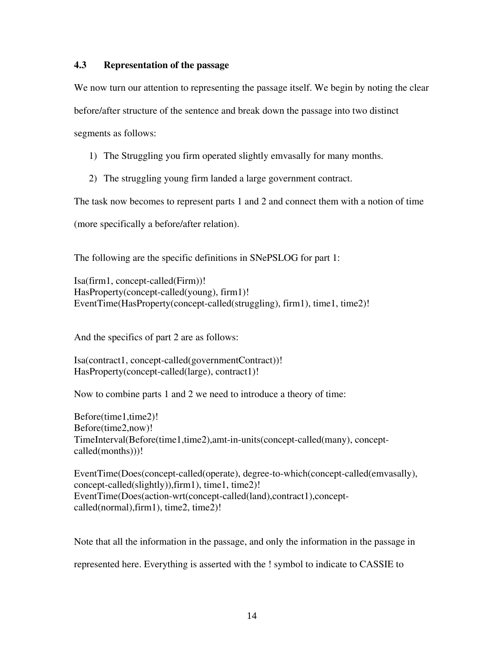#### **4.3 Representation of the passage**

We now turn our attention to representing the passage itself. We begin by noting the clear

before/after structure of the sentence and break down the passage into two distinct

segments as follows:

- 1) The Struggling you firm operated slightly emvasally for many months.
- 2) The struggling young firm landed a large government contract.

The task now becomes to represent parts 1 and 2 and connect them with a notion of time

(more specifically a before/after relation).

The following are the specific definitions in SNePSLOG for part 1:

Isa(firm1, concept-called(Firm))! HasProperty(concept-called(young), firm1)! EventTime(HasProperty(concept-called(struggling), firm1), time1, time2)!

And the specifics of part 2 are as follows:

Isa(contract1, concept-called(governmentContract))! HasProperty(concept-called(large), contract1)!

Now to combine parts 1 and 2 we need to introduce a theory of time:

Before(time1,time2)! Before(time2,now)! TimeInterval(Before(time1,time2),amt-in-units(concept-called(many), conceptcalled(months)))!

EventTime(Does(concept-called(operate), degree-to-which(concept-called(emvasally), concept-called(slightly)),firm1), time1, time2)! EventTime(Does(action-wrt(concept-called(land),contract1),conceptcalled(normal),firm1), time2, time2)!

Note that all the information in the passage, and only the information in the passage in represented here. Everything is asserted with the ! symbol to indicate to CASSIE to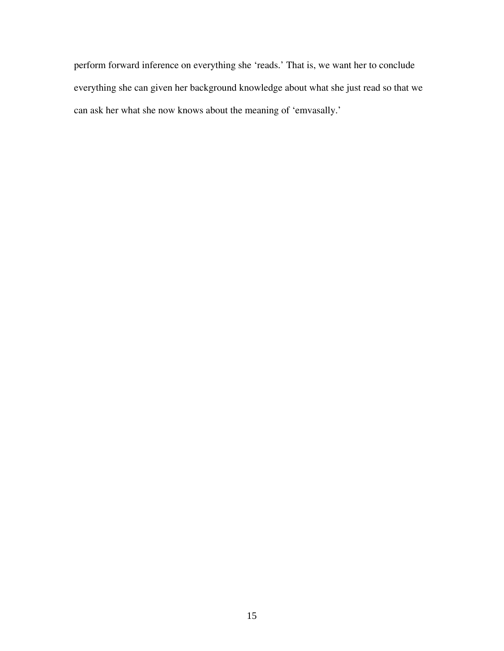perform forward inference on everything she 'reads.' That is, we want her to conclude everything she can given her background knowledge about what she just read so that we can ask her what she now knows about the meaning of 'emvasally.'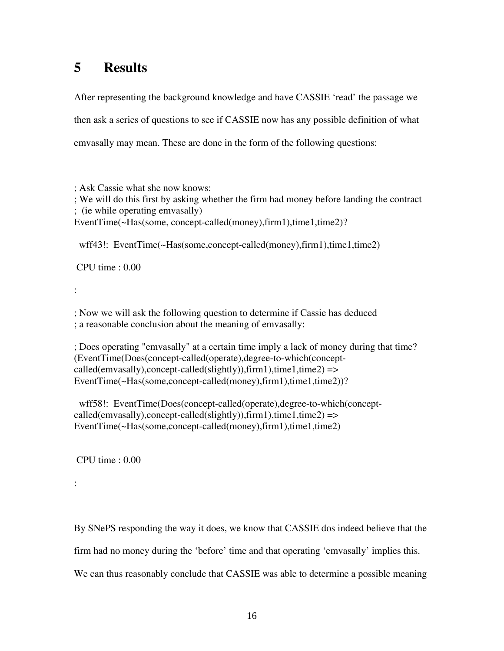## **5 Results**

After representing the background knowledge and have CASSIE 'read' the passage we then ask a series of questions to see if CASSIE now has any possible definition of what emvasally may mean. These are done in the form of the following questions:

; Ask Cassie what she now knows: ; We will do this first by asking whether the firm had money before landing the contract ; (ie while operating emvasally) EventTime(~Has(some, concept-called(money),firm1),time1,time2)?

wff43!: EventTime(~Has(some,concept-called(money),firm1),time1,time2)

CPU time : 0.00

:

; Now we will ask the following question to determine if Cassie has deduced ; a reasonable conclusion about the meaning of emvasally:

; Does operating "emvasally" at a certain time imply a lack of money during that time? (EventTime(Does(concept-called(operate),degree-to-which(concept $called (emvasally), concept-called (slightly)), firm1), time1, time2)$  => EventTime(~Has(some,concept-called(money),firm1),time1,time2))?

 wff58!: EventTime(Does(concept-called(operate),degree-to-which(concept $called (emvasally), concept-called (slightly)), firm1), time1, time2)$  => EventTime(~Has(some,concept-called(money),firm1),time1,time2)

CPU time : 0.00

:

By SNePS responding the way it does, we know that CASSIE dos indeed believe that the firm had no money during the 'before' time and that operating 'emvasally' implies this. We can thus reasonably conclude that CASSIE was able to determine a possible meaning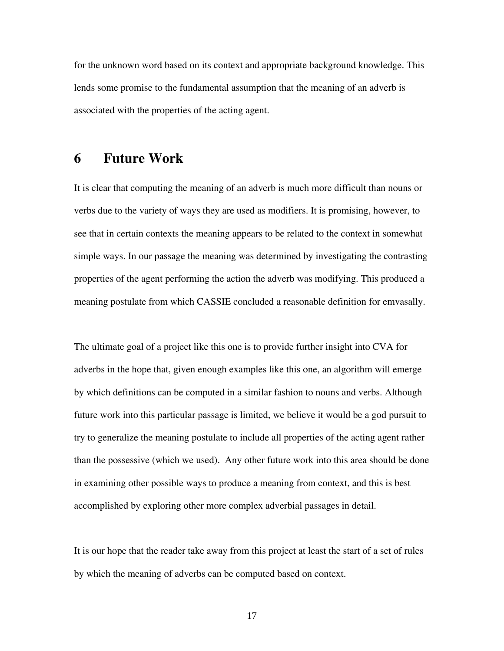for the unknown word based on its context and appropriate background knowledge. This lends some promise to the fundamental assumption that the meaning of an adverb is associated with the properties of the acting agent.

### **6 Future Work**

It is clear that computing the meaning of an adverb is much more difficult than nouns or verbs due to the variety of ways they are used as modifiers. It is promising, however, to see that in certain contexts the meaning appears to be related to the context in somewhat simple ways. In our passage the meaning was determined by investigating the contrasting properties of the agent performing the action the adverb was modifying. This produced a meaning postulate from which CASSIE concluded a reasonable definition for emvasally.

The ultimate goal of a project like this one is to provide further insight into CVA for adverbs in the hope that, given enough examples like this one, an algorithm will emerge by which definitions can be computed in a similar fashion to nouns and verbs. Although future work into this particular passage is limited, we believe it would be a god pursuit to try to generalize the meaning postulate to include all properties of the acting agent rather than the possessive (which we used). Any other future work into this area should be done in examining other possible ways to produce a meaning from context, and this is best accomplished by exploring other more complex adverbial passages in detail.

It is our hope that the reader take away from this project at least the start of a set of rules by which the meaning of adverbs can be computed based on context.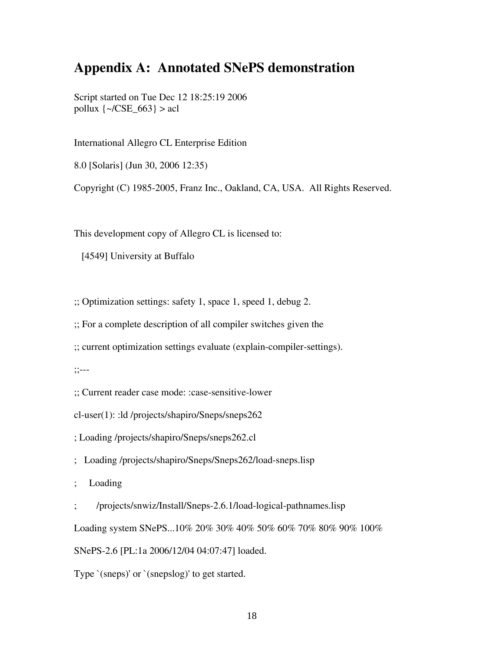## **Appendix A: Annotated SNePS demonstration**

Script started on Tue Dec 12 18:25:19 2006 pollux  $\left\{\sim/\text{CSE}_663\right\} > \text{acl}$ 

International Allegro CL Enterprise Edition

8.0 [Solaris] (Jun 30, 2006 12:35)

Copyright (C) 1985-2005, Franz Inc., Oakland, CA, USA. All Rights Reserved.

This development copy of Allegro CL is licensed to:

[4549] University at Buffalo

;; Optimization settings: safety 1, space 1, speed 1, debug 2.

;; For a complete description of all compiler switches given the

;; current optimization settings evaluate (explain-compiler-settings).

;;---

;; Current reader case mode: :case-sensitive-lower

cl-user(1): :ld /projects/shapiro/Sneps/sneps262

; Loading /projects/shapiro/Sneps/sneps262.cl

; Loading /projects/shapiro/Sneps/Sneps262/load-sneps.lisp

; Loading

; /projects/snwiz/Install/Sneps-2.6.1/load-logical-pathnames.lisp

Loading system SNePS...10% 20% 30% 40% 50% 60% 70% 80% 90% 100%

SNePS-2.6 [PL:1a 2006/12/04 04:07:47] loaded.

Type `(sneps)' or `(snepslog)' to get started.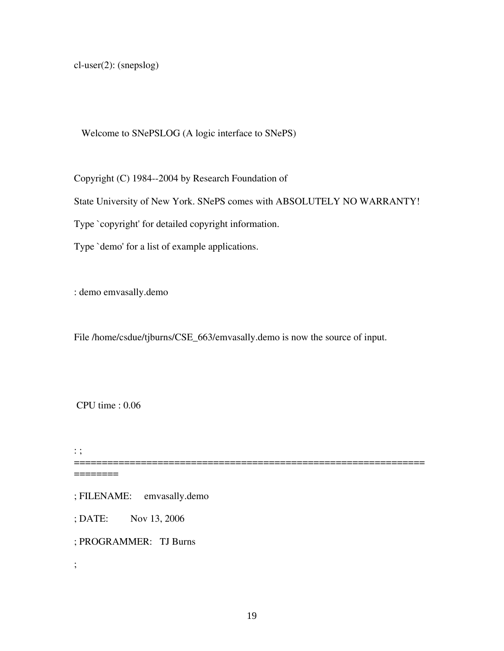cl-user(2): (snepslog)

Welcome to SNePSLOG (A logic interface to SNePS)

Copyright (C) 1984--2004 by Research Foundation of

State University of New York. SNePS comes with ABSOLUTELY NO WARRANTY!

Type `copyright' for detailed copyright information.

Type `demo' for a list of example applications.

: demo emvasally.demo

File /home/csdue/tjburns/CSE\_663/emvasally.demo is now the source of input.

CPU time : 0.06

: ;

=============================================================== ========

; FILENAME: emvasally.demo

; DATE: Nov 13, 2006

; PROGRAMMER: TJ Burns

;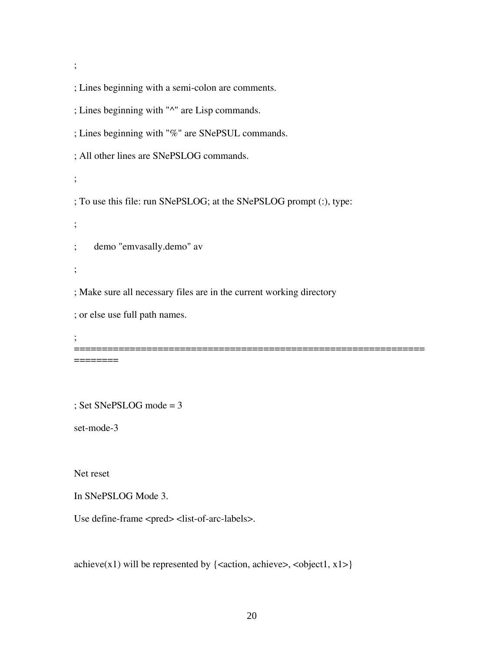;

; Lines beginning with a semi-colon are comments.

; Lines beginning with "^" are Lisp commands.

; Lines beginning with "%" are SNePSUL commands.

; All other lines are SNePSLOG commands.

;

; To use this file: run SNePSLOG; at the SNePSLOG prompt (:), type:

;

; demo "emvasally.demo" av

;

; Make sure all necessary files are in the current working directory

; or else use full path names.

; ===============================================================

========

; Set SNePSLOG mode = 3

set-mode-3

Net reset

In SNePSLOG Mode 3.

Use define-frame <pred> <list-of-arc-labels>.

achieve(x1) will be represented by  $\{\text{}$ ,  $\text{}$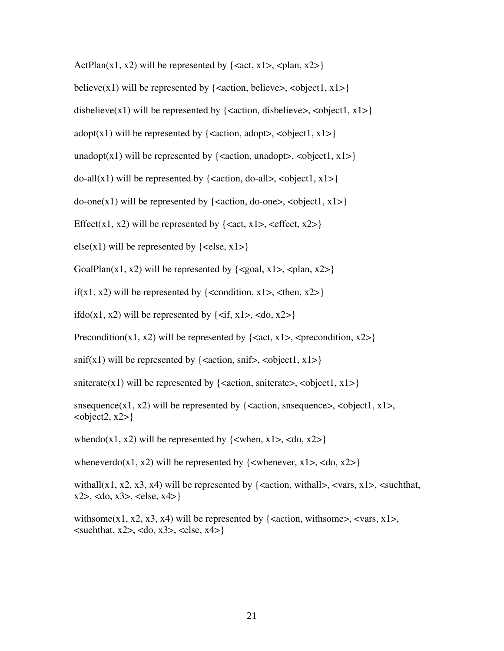ActPlan(x1, x2) will be represented by  $\{\text{, \text{}\}\$ 

believe(x1) will be represented by  $\{\text{}$ ,  $\text{}$ 

disbelieve(x1) will be represented by  $\{\text{}$ ,  $\text{}$ 

adopt(x1) will be represented by  $\{\text{}, \text{}\}\$ 

unadopt(x1) will be represented by {<action, unadopt>, <object1, x1>}

do-all(x1) will be represented by  $\{\text{}, \text{}\}\$ 

 $do-one(x1)$  will be represented by {<action, do-one>, <object1,  $x1$ >}

Effect(x1, x2) will be represented by  $\{\text{zact}, \text{x1}\text{>}$ ,  $\text{ceffect}, \text{x2}\text{>}$ 

else(x1) will be represented by  $\{\text{ } \leq \text{ } x1 \}$ 

GoalPlan(x1, x2) will be represented by  $\{\text{ceool}, x1>, \text{ceplan}, x2\}$ 

if(x1, x2) will be represented by  $\{\text{condition}, x1>, \text{ then}, x2>\}$ 

if  $d_0(x1, x2)$  will be represented by  $\{\langle \text{if, } x1 \rangle, \langle \text{d}_0, x2 \rangle\}$ 

Precondition(x1, x2) will be represented by  $\{\text{, *precondition, x2>*}\}\$ 

 $snif(x1)$  will be represented by {<action, snif>, <object1, x1>}

sniterate(x1) will be represented by  $\{\text{ iterate>,  $\text{}$$ 

snsequence(x1, x2) will be represented by  $\{\langle\text{action}, \text{single}, \langle\text{object1}, \text{x1}\rangle\}$ ,  $\langle \text{object2}, \text{x2} \rangle$ 

whendo(x1, x2) will be represented by  $\{\langle \text{when, x1}\rangle, \langle \text{do, x2}\rangle\}$ 

wheneverdo(x1, x2) will be represented by  $\{\langle\$ whenever, x1 $\rangle$ ,  $\langle d_0, x2 \rangle\}$ 

withall(x1, x2, x3, x4) will be represented by  $\{\langle\text{action}, \text{with} \text{all}\rangle, \langle\text{vars}, \text{x1}\rangle, \langle\text{such} \text{that}, \text{true}\rangle\}$  $x2$ , <do,  $x3$ , <else,  $x4$ }

withsome(x1, x2, x3, x4) will be represented by {<action, withsome>, <vars,  $x1$ >,  $\langle$ suchthat, x2>,  $\langle$ do, x3>,  $\langle$ else, x4>}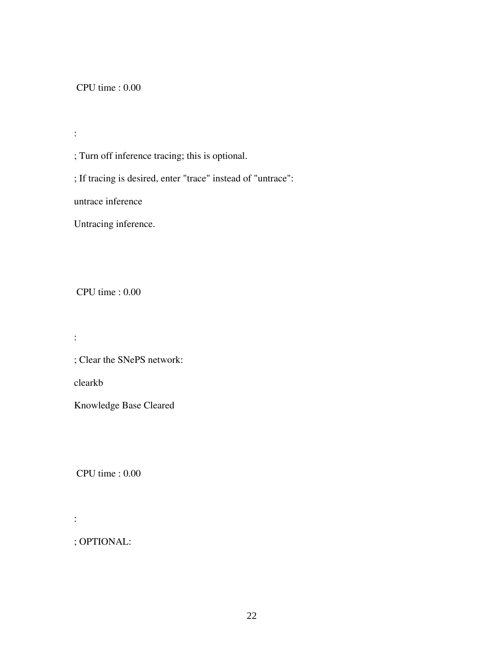CPU time : 0.00

:

; Turn off inference tracing; this is optional.

; If tracing is desired, enter "trace" instead of "untrace":

untrace inference

Untracing inference.

CPU time : 0.00

:

; Clear the SNePS network:

clearkb

Knowledge Base Cleared

CPU time : 0.00

:

; OPTIONAL: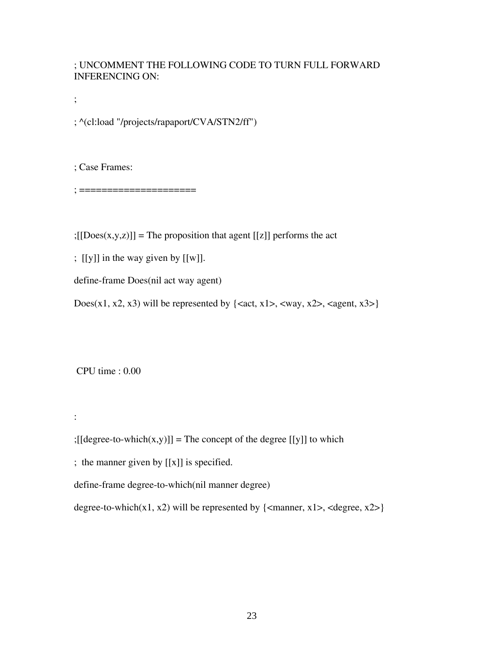#### ; UNCOMMENT THE FOLLOWING CODE TO TURN FULL FORWARD INFERENCING ON:

;

; ^(cl:load "/projects/rapaport/CVA/STN2/ff")

; Case Frames:

; =====================

 $;[[Does(x,y,z)]]$  = The proposition that agent [[z]] performs the act

; [[y]] in the way given by [[w]].

define-frame Does(nil act way agent)

Does(x1, x2, x3) will be represented by  $\{<\text{act, x1}>$ ,  $<\text{way, x2}>$ ,  $<\text{agent, x3}>$ 

CPU time : 0.00

:

 $;[[degree-to-which(x,y)]] =$ The concept of the degree  $[[y]]$  to which

; the manner given by [[x]] is specified.

define-frame degree-to-which(nil manner degree)

degree-to-which(x1, x2) will be represented by  $\{\text{c}$  manner, x1>,  $\text{c}$  degree, x2> $\}$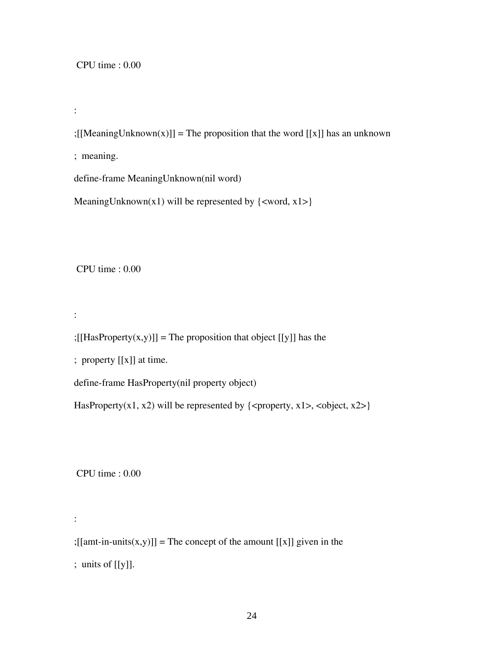#### CPU time : 0.00

:

;[[MeaningUnknown(x)]] = The proposition that the word [[x]] has an unknown

; meaning.

define-frame MeaningUnknown(nil word)

MeaningUnknown(x1) will be represented by  $\{\text{word}, x1>\}$ 

CPU time : 0.00

:

:

 $;[[HasProperty(x,y)]] =$ The proposition that object [[y]] has the

; property [[x]] at time.

define-frame HasProperty(nil property object)

HasProperty(x1, x2) will be represented by  $\{\langle\text{property}, x1\rangle, \langle\text{object}, x2\rangle\}$ 

CPU time : 0.00

 $;[[amt-in-units(x,y)]] =$ The concept of the amount  $[[x]]$  given in the ; units of [[y]].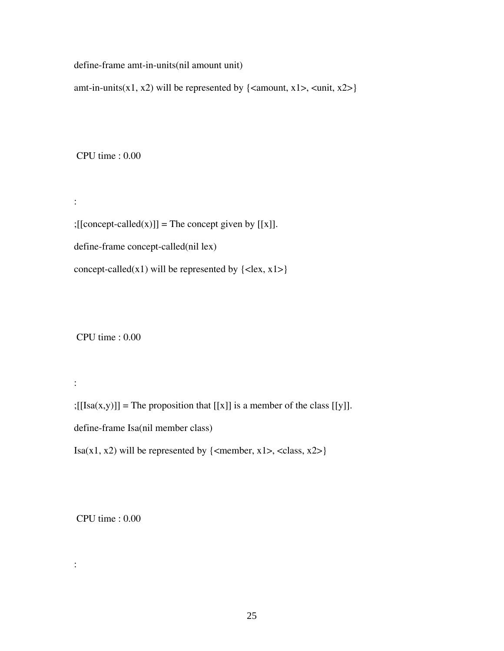define-frame amt-in-units(nil amount unit)

amt-in-units(x1, x2) will be represented by  $\{\text{<}$  amount, x1>,  $\text{<}$  unit, x2> $\}$ 

CPU time : 0.00

:

:

:

 $;[[concept\text{-}called(x)]] =$ The concept given by  $[[x]].$ define-frame concept-called(nil lex) concept-called(x1) will be represented by  $\{\langle$  kex, x1> $\}$ 

CPU time : 0.00

 $;[[Isa(x,y)]]$  = The proposition that  $[[x]]$  is a member of the class  $[[y]]$ . define-frame Isa(nil member class)

Isa(x1, x2) will be represented by  $\{\text{emember, x1}>, \text{class, x2} \}$ 

CPU time : 0.00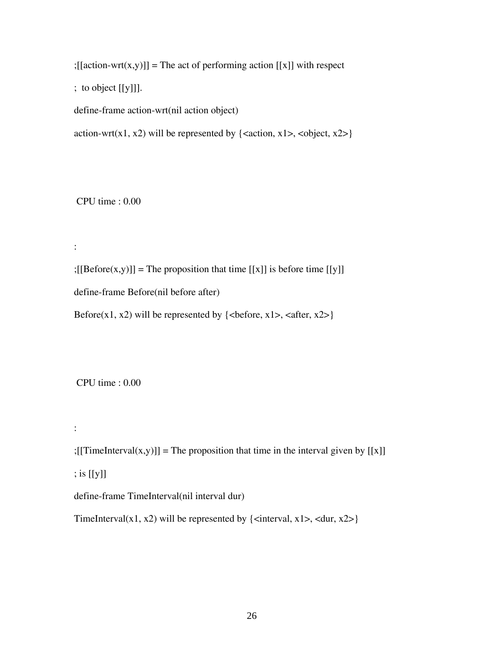$;[[action-wrt(x,y)]] =$ The act of performing action  $[[x]]$  with respect

; to object [[y]]].

define-frame action-wrt(nil action object)

action-wrt(x1, x2) will be represented by  $\{\text{, <\text{object, x2>}\}\}$ 

CPU time : 0.00

:

 $;[[Before(x,y)]]$  = The proposition that time  $[[x]]$  is before time  $[[y]]$ define-frame Before(nil before after)

Before(x1, x2) will be represented by  $\{\text{before, x1}>, \text{after, x2} \}$ 

CPU time : 0.00

;[[TimeInterval(x,y)]] = The proposition that time in the interval given by [[x]]

; is [[y]]

:

define-frame TimeInterval(nil interval dur)

TimeInterval(x1, x2) will be represented by {<interval, x1>, <dur, x2>}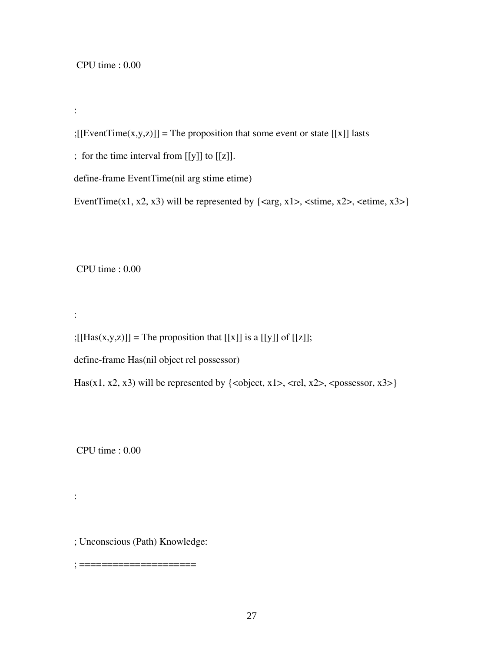:

; [[EventTime(x,y,z)]] = The proposition that some event or state [[x]] lasts

; for the time interval from [[y]] to [[z]].

define-frame EventTime(nil arg stime etime)

EventTime(x1, x2, x3) will be represented by  $\{ \langle \text{arg}, \text{x1}\rangle, \langle \text{stime}, \text{x2}\rangle, \langle \text{etime}, \text{x3}\rangle \}$ 

CPU time : 0.00

:

:

 $;[[Has(x,y,z)]]$  = The proposition that  $[[x]]$  is a  $[[y]]$  of  $[[z]]$ ;

define-frame Has(nil object rel possessor)

Has(x1, x2, x3) will be represented by  $\{\text{object, x1}>, \text{erl, x2}>, \text{cpossessor, x3} \}$ 

CPU time : 0.00

; Unconscious (Path) Knowledge:

; =====================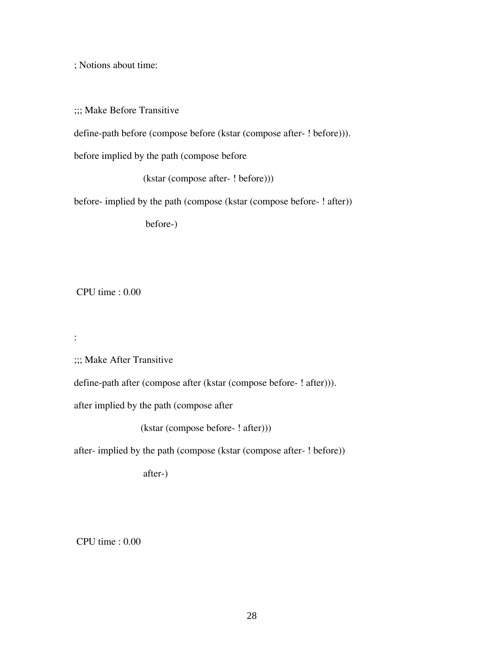; Notions about time:

;;; Make Before Transitive

define-path before (compose before (kstar (compose after- ! before))).

before implied by the path (compose before

(kstar (compose after- ! before)))

before- implied by the path (compose (kstar (compose before- ! after))

before-)

CPU time : 0.00

:

;;; Make After Transitive

define-path after (compose after (kstar (compose before- ! after))).

after implied by the path (compose after

(kstar (compose before- ! after)))

after- implied by the path (compose (kstar (compose after- ! before))

after-)

CPU time : 0.00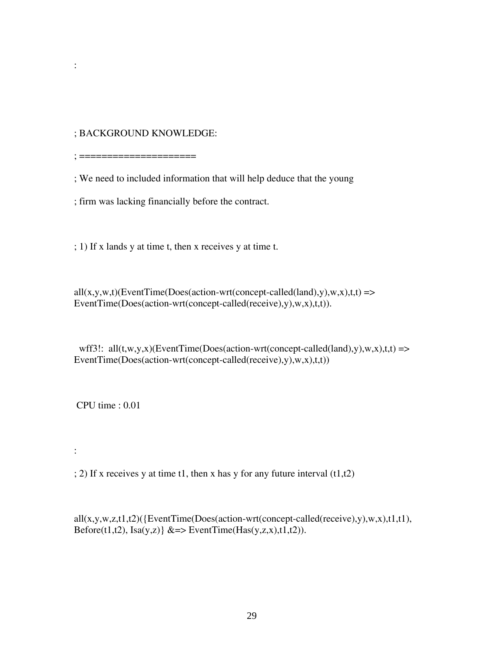; BACKGROUND KNOWLEDGE:

; =====================

:

; We need to included information that will help deduce that the young

; firm was lacking financially before the contract.

; 1) If x lands y at time t, then x receives y at time t.

 $all(x,y,w,t)$ (EventTime(Does(action-wrt(concept-called(land),y),w,x),t,t) => EventTime(Does(action-wrt(concept-called(receive),y),w,x),t,t)).

wff3!: all $(t, w, y, x)$ (EventTime(Does(action-wrt(concept-called(land),y),w,x),t,t) => EventTime(Does(action-wrt(concept-called(receive),y),w,x),t,t))

CPU time : 0.01

:

 $(1, 2)$  If x receives y at time t1, then x has y for any future interval  $(1, 1, 2)$ 

all(x,y,w,z,t1,t2)({EventTime(Does(action-wrt(concept-called(receive),y),w,x),t1,t1), Before(t1,t2), Isa(y,z)  $\&\Rightarrow$  EventTime(Has(y,z,x),t1,t2)).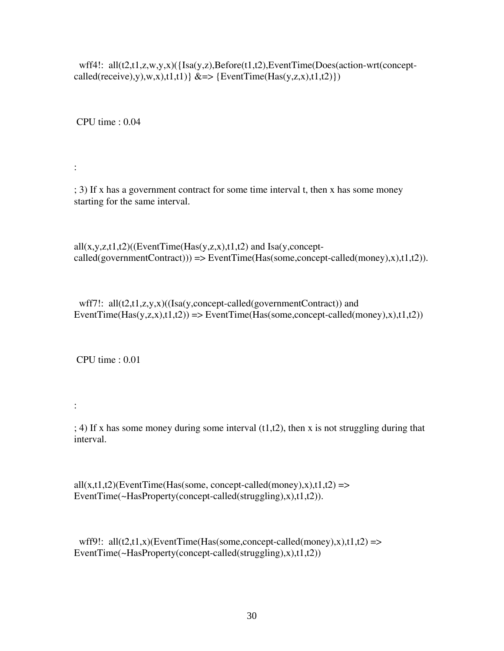wff4!: all(t2,t1,z,w,y,x)({Isa(y,z),Before(t1,t2),EventTime(Does(action-wrt(conceptcalled(receive),y),w,x),t1,t1)  $\& \Rightarrow$  {EventTime(Has(y,z,x),t1,t2) })

CPU time : 0.04

:

; 3) If x has a government contract for some time interval t, then x has some money starting for the same interval.

 $all(x,y,z,t1,t2)$ ((EventTime(Has(y,z,x),t1,t2) and Isa(y,concept $called(governmentContract))) \Rightarrow EventTime(Has(some,concept-called(money),x),t1,t2)).$ 

wff7!: all(t2,t1,z,y,x)((Isa(y,concept-called(governmentContract)) and EventTime(Has(y,z,x),t1,t2)) => EventTime(Has(some,concept-called(money),x),t1,t2))

CPU time : 0.01

:

 $; 4$ ) If x has some money during some interval  $(t1,t2)$ , then x is not struggling during that interval.

 $all(x,t1,t2)$ (EventTime(Has(some, concept-called(money),x),t1,t2) => EventTime(~HasProperty(concept-called(struggling),x),t1,t2)).

wff9!:  $all(t2,t1,x)$ (EventTime(Has(some,concept-called(money),x),t1,t2) => EventTime(~HasProperty(concept-called(struggling),x),t1,t2))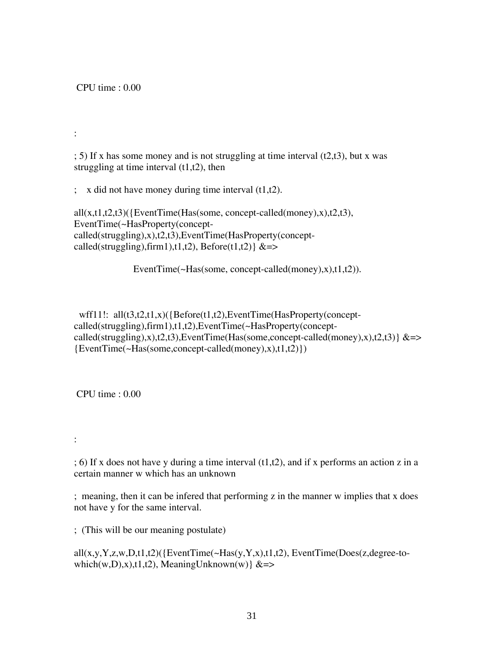CPU time : 0.00

:

 $(1, 5)$  If x has some money and is not struggling at time interval  $(1, 2, 1, 3)$ , but x was struggling at time interval  $(t1,t2)$ , then

 $\therefore$  x did not have money during time interval (t1,t2).

 $all(x,t1,t2,t3)$ ({EventTime(Has(some, concept-called(money),x),t2,t3), EventTime(~HasProperty(conceptcalled(struggling),x),t2,t3),EventTime(HasProperty(conceptcalled(struggling),firm1),t1,t2), Before(t1,t2)  $&\Rightarrow$ 

EventTime(~Has(some, concept-called(money),x),t1,t2)).

wff11!: all(t3,t2,t1,x)({Before(t1,t2),EventTime(HasProperty(conceptcalled(struggling),firm1),t1,t2),EventTime(~HasProperty(conceptcalled(struggling),x),t2,t3),EventTime(Has(some,concept-called(money),x),t2,t3)  $\&=$ >  ${EventTime(-Has(some, concept-called(money),x),t1,t2)}$ 

CPU time : 0.00

:

; 6) If x does not have y during a time interval (t1,t2), and if x performs an action z in a certain manner w which has an unknown

; meaning, then it can be infered that performing z in the manner w implies that x does not have y for the same interval.

; (This will be our meaning postulate)

 $all(x,y,Y,z,w,D,t1,t2)$ ({EventTime(~Has(y,Y,x),t1,t2), EventTime(Does(z,degree-towhich(w,D),x),t1,t2), MeaningUnknown(w)  $&\approx$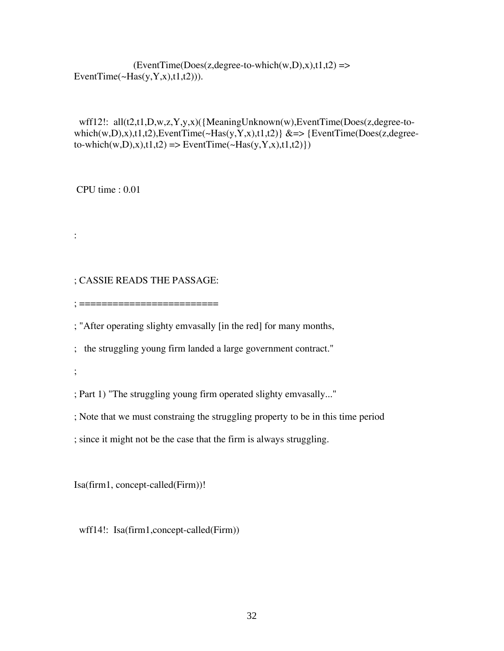$(EventTime(Does(z, degree-to-which(w,D),x),t1,t2)$  => EventTime $(\sim\text{Has}(y, Y, x), t1, t2))$ ).

```
wff12!: all(t2,t1,D,w,z,Y,y,x)({MeaningUnknown(w),EventTime(Does(z,degree-to-
which(w,D),x),t1,t2),EventTime(~Has(y,Y,x),t1,t2)} &=> {EventTime(Does(z,degree-
to\text{-which}(w,D),x),t1,t2 \implies \text{EventTime}(\sim\text{Has}(y,Y,x),t1,t2)
```
CPU time : 0.01

:

#### ; CASSIE READS THE PASSAGE:

; =========================

; "After operating slighty emvasally [in the red] for many months,

; the struggling young firm landed a large government contract."

;

; Part 1) "The struggling young firm operated slighty emvasally..."

; Note that we must constraing the struggling property to be in this time period

; since it might not be the case that the firm is always struggling.

Isa(firm1, concept-called(Firm))!

wff14!: Isa(firm1,concept-called(Firm))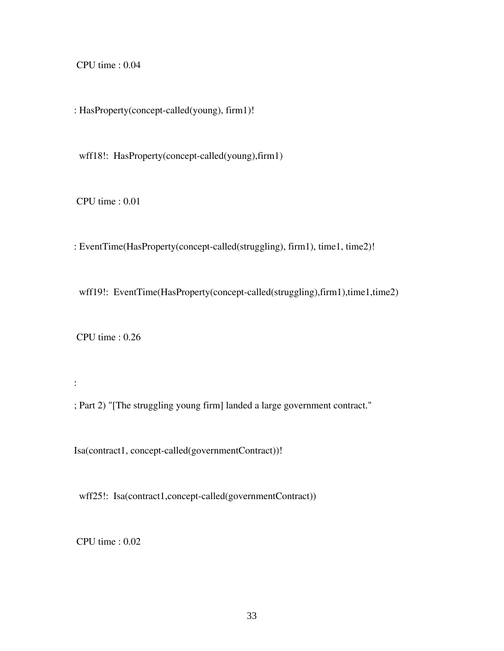CPU time : 0.04

: HasProperty(concept-called(young), firm1)!

wff18!: HasProperty(concept-called(young),firm1)

CPU time : 0.01

: EventTime(HasProperty(concept-called(struggling), firm1), time1, time2)!

wff19!: EventTime(HasProperty(concept-called(struggling),firm1),time1,time2)

CPU time : 0.26

:

; Part 2) "[The struggling young firm] landed a large government contract."

Isa(contract1, concept-called(governmentContract))!

wff25!: Isa(contract1,concept-called(governmentContract))

CPU time : 0.02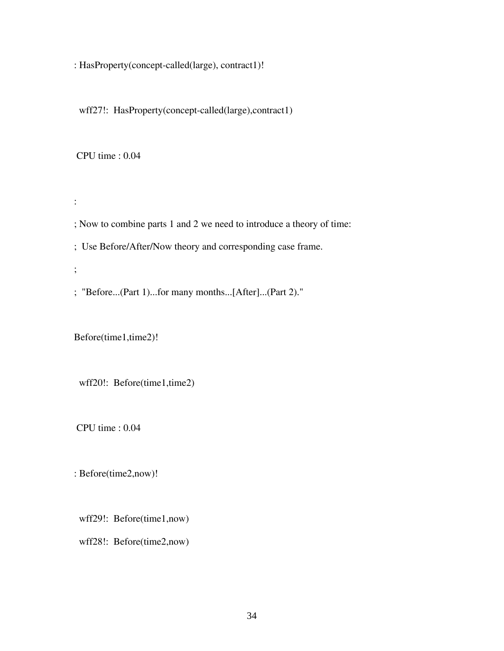: HasProperty(concept-called(large), contract1)!

wff27!: HasProperty(concept-called(large),contract1)

CPU time : 0.04

:

; Now to combine parts 1 and 2 we need to introduce a theory of time:

; Use Before/After/Now theory and corresponding case frame.

;

; "Before...(Part 1)...for many months...[After]...(Part 2)."

Before(time1,time2)!

wff20!: Before(time1,time2)

CPU time : 0.04

: Before(time2,now)!

wff29!: Before(time1,now)

wff28!: Before(time2,now)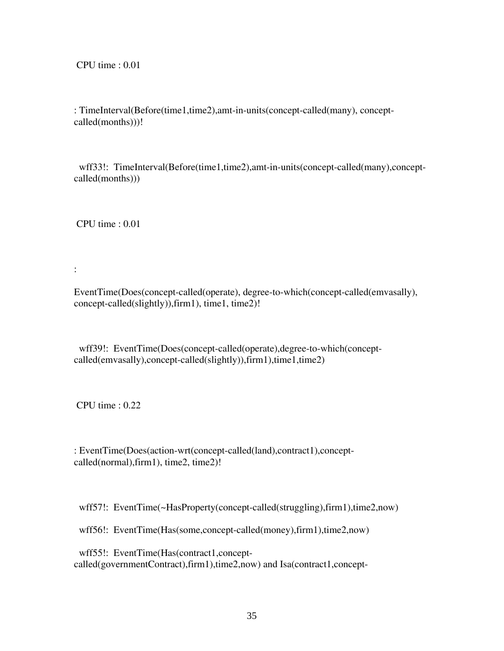CPU time : 0.01

: TimeInterval(Before(time1,time2),amt-in-units(concept-called(many), conceptcalled(months)))!

wff33!: TimeInterval(Before(time1,time2),amt-in-units(concept-called(many),conceptcalled(months)))

CPU time : 0.01

:

EventTime(Does(concept-called(operate), degree-to-which(concept-called(emvasally), concept-called(slightly)),firm1), time1, time2)!

 wff39!: EventTime(Does(concept-called(operate),degree-to-which(conceptcalled(emvasally),concept-called(slightly)),firm1),time1,time2)

CPU time : 0.22

: EventTime(Does(action-wrt(concept-called(land),contract1),conceptcalled(normal),firm1), time2, time2)!

wff57!: EventTime(~HasProperty(concept-called(struggling),firm1),time2,now)

wff56!: EventTime(Has(some,concept-called(money),firm1),time2,now)

wff55!: EventTime(Has(contract1,conceptcalled(governmentContract),firm1),time2,now) and Isa(contract1,concept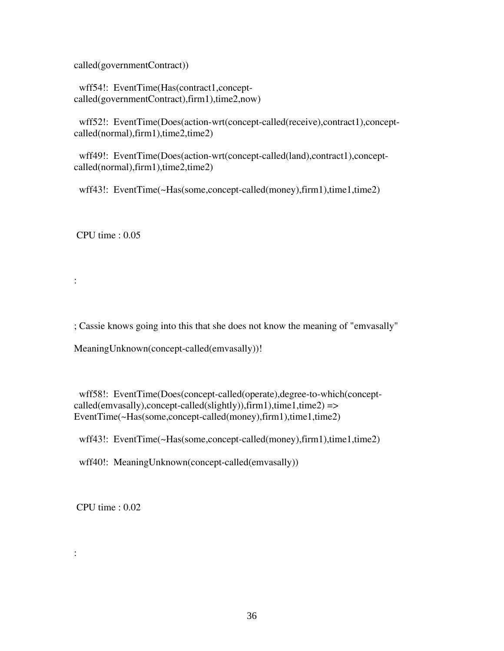called(governmentContract))

wff54!: EventTime(Has(contract1,conceptcalled(governmentContract),firm1),time2,now)

 wff52!: EventTime(Does(action-wrt(concept-called(receive),contract1),conceptcalled(normal),firm1),time2,time2)

wff49!: EventTime(Does(action-wrt(concept-called(land),contract1),conceptcalled(normal),firm1),time2,time2)

wff43!: EventTime(~Has(some,concept-called(money),firm1),time1,time2)

CPU time : 0.05

:

; Cassie knows going into this that she does not know the meaning of "emvasally"

MeaningUnknown(concept-called(emvasally))!

 wff58!: EventTime(Does(concept-called(operate),degree-to-which(concept $called (emvasally), concept-called (slightly)), firm1), time1, time2)$  => EventTime(~Has(some,concept-called(money),firm1),time1,time2)

wff43!: EventTime(~Has(some,concept-called(money),firm1),time1,time2)

wff40!: MeaningUnknown(concept-called(emvasally))

CPU time : 0.02

: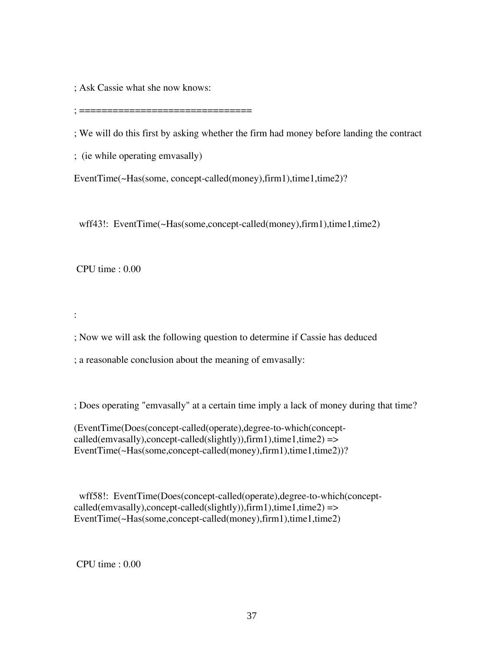; Ask Cassie what she now knows:

; ===============================

; We will do this first by asking whether the firm had money before landing the contract

; (ie while operating emvasally)

EventTime(~Has(some, concept-called(money),firm1),time1,time2)?

wff43!: EventTime(~Has(some,concept-called(money),firm1),time1,time2)

CPU time : 0.00

:

; Now we will ask the following question to determine if Cassie has deduced

; a reasonable conclusion about the meaning of emvasally:

; Does operating "emvasally" at a certain time imply a lack of money during that time?

(EventTime(Does(concept-called(operate),degree-to-which(concept $called (emvasally), concept-called (slightly)), firm1), time1, time2)$  => EventTime(~Has(some,concept-called(money),firm1),time1,time2))?

 wff58!: EventTime(Does(concept-called(operate),degree-to-which(concept $called (emvasally), concept-called (slightly)), firm1), time1, time2) = >$ EventTime(~Has(some,concept-called(money),firm1),time1,time2)

CPU time : 0.00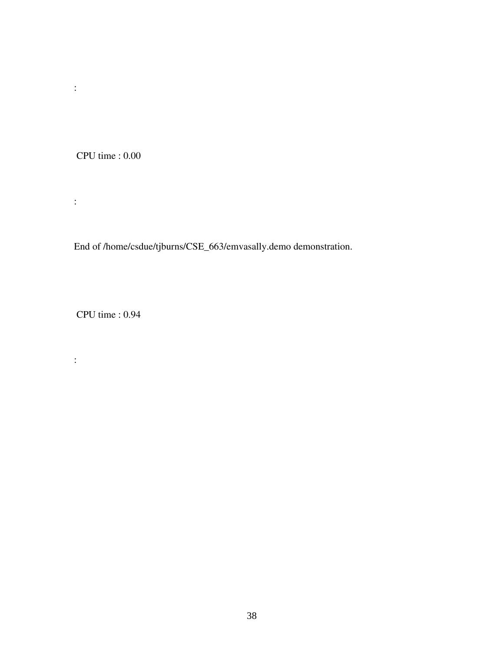CPU time : 0.00

:

:

End of /home/csdue/tjburns/CSE\_663/emvasally.demo demonstration.

CPU time : 0.94

: